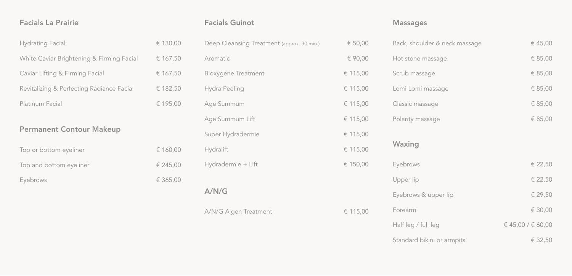| <b>Facials La Prairie</b>                 |          | <b>Facials Guinot</b>                      |           | <b>Massages</b>               |                       |
|-------------------------------------------|----------|--------------------------------------------|-----------|-------------------------------|-----------------------|
| <b>Hydrating Facial</b>                   | € 130,00 | Deep Cleansing Treatment (approx. 30 min.) | € $50,00$ | Back, shoulder & neck massage | € 45,00               |
| White Caviar Brightening & Firming Facial | € 167,50 | Aromatic                                   | € 90,00   | Hot stone massage             | € 85,00               |
| Caviar Lifting & Firming Facial           | € 167,50 | <b>Bioxygene Treatment</b>                 | € 115,00  | Scrub massage                 | € 85,00               |
| Revitalizing & Perfecting Radiance Facial | € 182,50 | Hydra Peeling                              | € 115,00  | Lomi Lomi massage             | € 85,00               |
| Platinum Facial                           | € 195,00 | Age Summum                                 | € 115,00  | Classic massage               | € 85,00               |
|                                           |          | Age Summum Lift                            | € 115,00  | Polarity massage              | € 85,00               |
| <b>Permanent Contour Makeup</b>           |          | Super Hydradermie                          | € 115,00  |                               |                       |
| Top or bottom eyeliner                    | € 160,00 | Hydralift                                  | € 115,00  | Waxing                        |                       |
| Top and bottom eyeliner                   | € 245,00 | Hydradermie + Lift                         | € 150,00  | Eyebrows                      | € 22,50               |
| Eyebrows                                  | € 365,00 |                                            |           | Upper lip                     | € 22,50               |
|                                           |          | A/N/G                                      |           | Eyebrows & upper lip          | € 29,50               |
|                                           |          | A/N/G Algen Treatment                      | € 115,00  | Forearm                       | € 30,00               |
|                                           |          |                                            |           | Half leg / full leg           | € 45,00 / $\in$ 60,00 |
|                                           |          |                                            |           | Standard bikini or armpits    | € 32,50               |